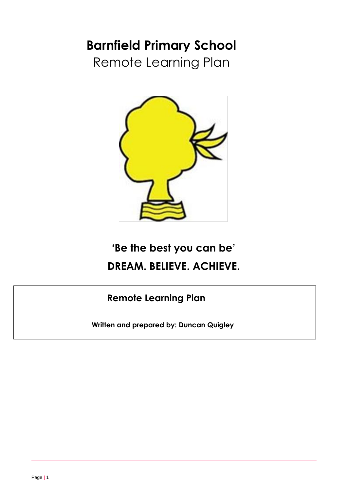# **Barnfield Primary School**

Remote Learning Plan



# **'Be the best you can be' DREAM. BELIEVE. ACHIEVE.**

## **Remote Learning Plan**

**Written and prepared by: Duncan Quigley**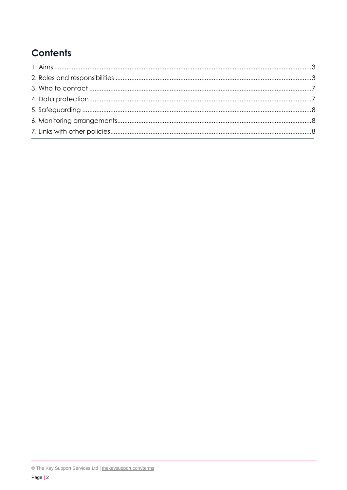## **Contents**

<span id="page-1-0"></span>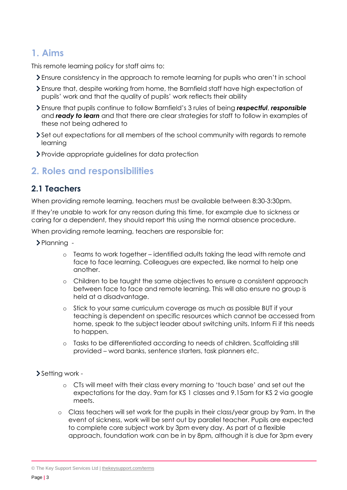## **1. Aims**

This remote learning policy for staff aims to:

- Ensure consistency in the approach to remote learning for pupils who aren't in school
- Ensure that, despite working from home, the Barnfield staff have high expectation of pupils' work and that the quality of pupils' work reflects their ability
- Ensure that pupils continue to follow Barnfield's 3 rules of being *respectful*, *responsible* and *ready to learn* and that there are clear strategies for staff to follow in examples of these not being adhered to
- Set out expectations for all members of the school community with regards to remote learning
- Provide appropriate guidelines for data protection

### <span id="page-2-0"></span>**2. Roles and responsibilities**

#### **2.1 Teachers**

When providing remote learning, teachers must be available between 8:30-3:30pm.

If they're unable to work for any reason during this time, for example due to sickness or caring for a dependent, they should report this using the normal absence procedure.

When providing remote learning, teachers are responsible for:

- $\blacktriangleright$  Planning
	- o Teams to work together identified adults taking the lead with remote and face to face learning. Colleagues are expected, like normal to help one another.
	- o Children to be taught the same objectives to ensure a consistent approach between face to face and remote learning. This will also ensure no group is held at a disadvantage.
	- Stick to your same curriculum coverage as much as possible BUT if your teaching is dependent on specific resources which cannot be accessed from home, speak to the subject leader about switching units. Inform Fi if this needs to happen.
	- o Tasks to be differentiated according to needs of children. Scaffolding still provided – word banks, sentence starters, task planners etc.
- Setting work
	- o CTs will meet with their class every morning to 'touch base' and set out the expectations for the day. 9am for KS 1 classes and 9.15am for KS 2 via google meets.
	- o Class teachers will set work for the pupils in their class/year group by 9am. In the event of sickness, work will be sent out by parallel teacher. Pupils are expected to complete core subject work by 3pm every day. As part of a flexible approach, foundation work can be in by 8pm, although it is due for 3pm every

<sup>©</sup> The Key Support Services Ltd | [thekeysupport.com/terms](https://thekeysupport.com/terms-of-use)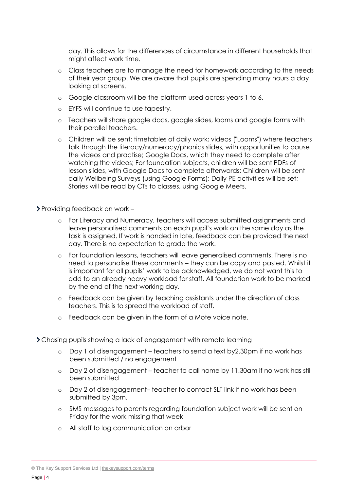day. This allows for the differences of circumstance in different households that might affect work time.

- o Class teachers are to manage the need for homework according to the needs of their year group. We are aware that pupils are spending many hours a day looking at screens.
- o Google classroom will be the platform used across years 1 to 6.
- o EYFS will continue to use tapestry.
- o Teachers will share google docs, google slides, looms and google forms with their parallel teachers.
- o Children will be sent: timetables of daily work; videos ("Looms") where teachers talk through the literacy/numeracy/phonics slides, with opportunities to pause the videos and practise; Google Docs, which they need to complete after watching the videos; For foundation subjects, children will be sent PDFs of lesson slides, with Google Docs to complete afterwards; Children will be sent daily Wellbeing Surveys (using Google Forms); Daily PE activities will be set; Stories will be read by CTs to classes, using Google Meets.

Providing feedback on work –

- o For Literacy and Numeracy, teachers will access submitted assignments and leave personalised comments on each pupil's work on the same day as the task is assigned. If work is handed in late, feedback can be provided the next day. There is no expectation to grade the work.
- o For foundation lessons, teachers will leave generalised comments. There is no need to personalise these comments – they can be copy and pasted. Whilst it is important for all pupils' work to be acknowledged, we do not want this to add to an already heavy workload for staff. All foundation work to be marked by the end of the next working day.
- o Feedback can be given by teaching assistants under the direction of class teachers. This is to spread the workload of staff.
- o Feedback can be given in the form of a Mote voice note.
- Chasing pupils showing a lack of engagement with remote learning
	- o Day 1 of disengagement teachers to send a text by2.30pm if no work has been submitted / no engagement
	- o Day 2 of disengagement teacher to call home by 11.30am if no work has still been submitted
	- o Day 2 of disengagement– teacher to contact SLT link if no work has been submitted by 3pm.
	- o SMS messages to parents regarding foundation subject work will be sent on Friday for the work missing that week
	- o All staff to log communication on arbor

© The Key Support Services Ltd | [thekeysupport.com/terms](https://thekeysupport.com/terms-of-use)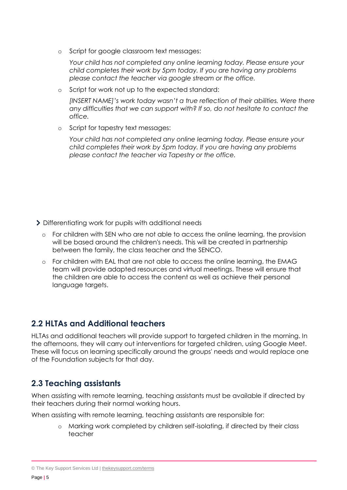o Script for google classroom text messages:

*Your child has not completed any online learning today. Please ensure your child completes their work by 5pm today. If you are having any problems please contact the teacher via google stream or the office.*

Script for work not up to the expected standard:

*[INSERT NAME]'s work today wasn't a true reflection of their abilities. Were there any difficulties that we can support with? If so, do not hesitate to contact the office.*

o Script for tapestry text messages:

*Your child has not completed any online learning today. Please ensure your child completes their work by 5pm today. If you are having any problems please contact the teacher via Tapestry or the office.*

- > Differentiating work for pupils with additional needs
	- o For children with SEN who are not able to access the online learning, the provision will be based around the children's needs. This will be created in partnership between the family, the class teacher and the SENCO.
	- o For children with EAL that are not able to access the online learning, the EMAG team will provide adapted resources and virtual meetings. These will ensure that the children are able to access the content as well as achieve their personal language targets.

#### **2.2 HLTAs and Additional teachers**

HLTAs and additional teachers will provide support to targeted children in the morning. In the afternoons, they will carry out interventions for targeted children, using Google Meet. These will focus on learning specifically around the groups' needs and would replace one of the Foundation subjects for that day.

#### **2.3 Teaching assistants**

When assisting with remote learning, teaching assistants must be available if directed by their teachers during their normal working hours.

When assisting with remote learning, teaching assistants are responsible for:

o Marking work completed by children self-isolating, if directed by their class teacher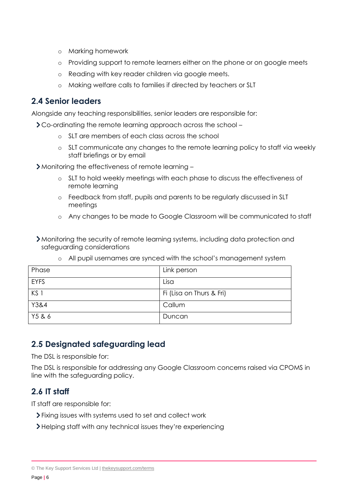- o Marking homework
- o Providing support to remote learners either on the phone or on google meets
- o Reading with key reader children via google meets.
- o Making welfare calls to families if directed by teachers or SLT

#### **2.4 Senior leaders**

Alongside any teaching responsibilities, senior leaders are responsible for:

Co-ordinating the remote learning approach across the school –

- o SLT are members of each class across the school
- o SLT communicate any changes to the remote learning policy to staff via weekly staff briefings or by email

Monitoring the effectiveness of remote learning –

- o SLT to hold weekly meetings with each phase to discuss the effectiveness of remote learning
- o Feedback from staff, pupils and parents to be regularly discussed in SLT meetings
- o Any changes to be made to Google Classroom will be communicated to staff
- Monitoring the security of remote learning systems, including data protection and safeguarding considerations

| Phase       | Link person              |
|-------------|--------------------------|
| <b>EYFS</b> | Lisa                     |
| KS 1        | Fi (Lisa on Thurs & Fri) |
| Y3&4        | Callum                   |
| Y5 & 6      | Duncan                   |

o All pupil usernames are synced with the school's management system

#### **2.5 Designated safeguarding lead**

The DSL is responsible for:

The DSL is responsible for addressing any Google Classroom concerns raised via CPOMS in line with the safeguarding policy.

#### **2.6 IT staff**

IT staff are responsible for:

- Fixing issues with systems used to set and collect work
- Helping staff with any technical issues they're experiencing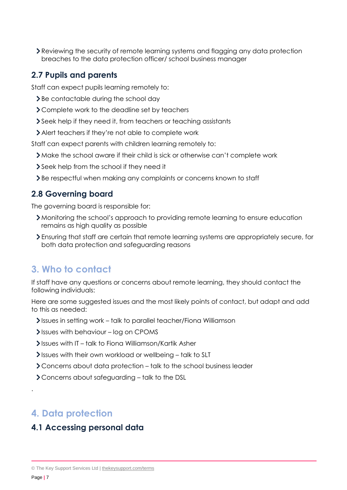Reviewing the security of remote learning systems and flagging any data protection breaches to the data protection officer/ school business manager

#### **2.7 Pupils and parents**

Staff can expect pupils learning remotely to:

- > Be contactable during the school day
- > Complete work to the deadline set by teachers
- Seek help if they need it, from teachers or teaching assistants
- Alert teachers if they're not able to complete work

Staff can expect parents with children learning remotely to:

- Make the school aware if their child is sick or otherwise can't complete work
- Seek help from the school if they need it
- Be respectful when making any complaints or concerns known to staff

#### **2.8 Governing board**

The governing board is responsible for:

- Monitoring the school's approach to providing remote learning to ensure education remains as high quality as possible
- Ensuring that staff are certain that remote learning systems are appropriately secure, for both data protection and safeguarding reasons

## <span id="page-6-0"></span>**3. Who to contact**

If staff have any questions or concerns about remote learning, they should contact the following individuals:

Here are some suggested issues and the most likely points of contact, but adapt and add to this as needed:

- Issues in setting work talk to parallel teacher/Fiona Williamson
- $\blacktriangleright$  Issues with behaviour log on CPOMS
- Issues with IT talk to Fiona Williamson/Kartik Asher
- Issues with their own workload or wellbeing talk to SLT
- Concerns about data protection talk to the school business leader
- Concerns about safeguarding talk to the DSL

## <span id="page-6-1"></span>**4. Data protection**

#### **4.1 Accessing personal data**

.